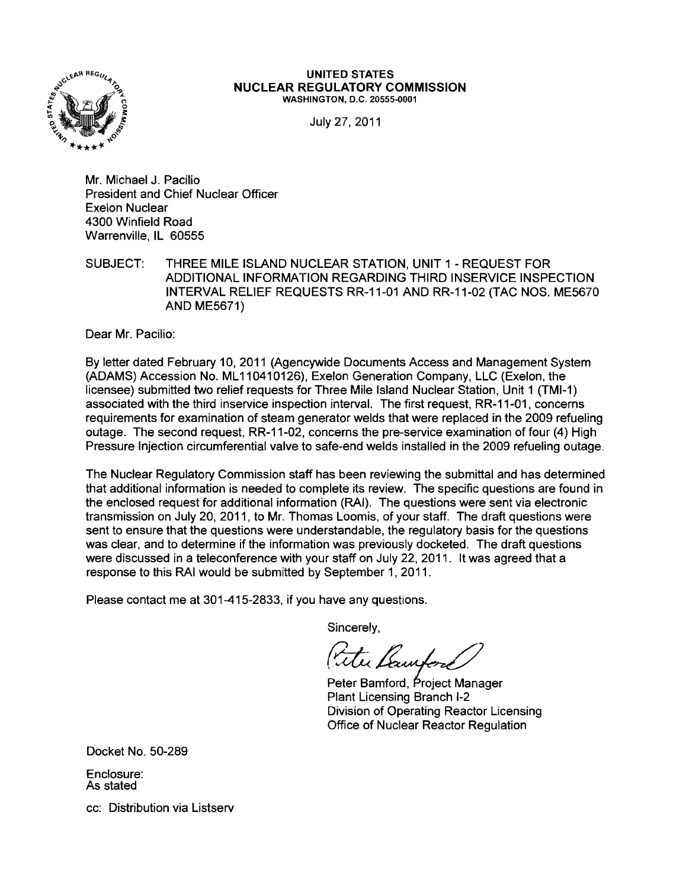

#### UNITED STATES NUCLEAR REGULATORY COMMISSION WASHINGTON, D.C. 20555-0001

July 27,2011

Mr. Michael J. Pacilio President and Chief Nuclear Officer Exelon Nuclear 4300 Winfield Road Warrenville, IL 60555

SUBJECT: THREE MILE ISLAND NUCLEAR STATION, UNIT 1 - REQUEST FOR ADDITIONAL INFORMATION REGARDING THIRD INSERVICE INSPECTION INTERVAL RELIEF REQUESTS RR-11-01 AND RR-11-02 (TAC NOS. ME5670 AND ME5671)

Dear Mr. Pacilio:

By letter dated February 10, 2011 (Agencywide Documents Access and Management System (ADAMS) Accession No. ML 110410126), Exelon Generation Company, LLC (Exelon, the licensee) submitted two relief requests for Three Mile Island Nuclear Station, Unit 1 (TMI-1) associated with the third inservice inspection interval. The first request, RR-11-01, concerns requirements for examination of steam generator welds that were replaced in the 2009 refueling outage. The second request, RR-11-02, concerns the pre-service examination of four (4) High Pressure Injection circumferential valve to safe-end welds installed in the 2009 refueling outage.

The Nuclear Regulatory Commission staff has been reviewing the submittal and has determined that additional information is needed to complete its review. The specific questions are found in the enclosed request for additional information (RAj). The questions were sent via electronic transmission on July 20, 2011, to Mr. Thomas Loomis, of your staff. The draft questions were sent to ensure that the questions were understandable, the regulatory basis for the questions was clear, and to determine if the information was previously docketed. The draft questions were discussed in a teleconference with your staff on July 22, 2011. It was agreed that a response to this RAI would be submitted by September 1,2011.

Please contact me at 301-415-2833, if you have any questions.

Sincerely,

Tele Lawford

Peter Bamford, Project Manager Plant Licensing Branch 1-2 Division of Operating Reactor Licensing Office of Nuclear Reactor Regulation

Docket No. 50-289

Enclosure: As stated

cc: Distribution via Listserv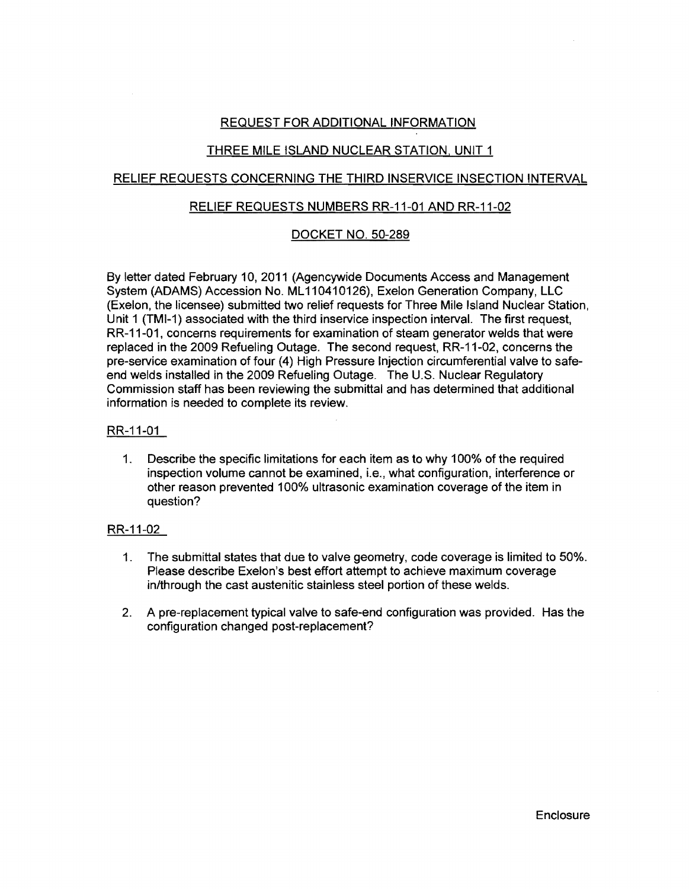# REQUEST FOR ADDITIONAL INFORMATION

# THREE MILE ISLAND NUCLEAR STATION, UNIT 1

# RELIEF REQUESTS CONCERNING THE THIRD INSERVICE INSECTION INTERVAL

## RELIEF REQUESTS NUMBERS RR-11-01 AND RR-11-02

# DOCKET NO. 50-289

By letter dated February 10, 2011 (Agencywide Documents Access and Management System (ADAMS) Accession No. ML 110410126), Exelon Generation Company, LLC (Exelon, the licensee) submitted two relief requests for Three Mile Island Nuclear Station, Unit 1 (TMI-1) associated with the third inservice inspection interval. The first request, RR-11-01, concerns requirements for examination of steam generator welds that were replaced in the 2009 Refueling Outage. The second request, RR-11-02, concerns the pre-service examination of four (4) High Pressure Injection circumferential valve to safeend welds installed in the 2009 Refueling Outage. The U.S. Nuclear Regulatory Commission staff has been reviewing the submittal and has determined that additional information is needed to complete its review.

## RR-11-01

1. Describe the specific limitations for each item as to why 100% of the required inspection volume cannot be examined, i.e., what configuration, interference or other reason prevented 100% ultrasonic examination coverage of the item in question?

## RR-11-02

- 1. The submittal states that due to valve geometry, code coverage is limited to 50%. Please describe Exelon's best effort attempt to achieve maximum coverage in/through the cast austenitic stainless steel portion of these welds.
- 2. A pre-replacement typical valve to safe-end configuration was provided. Has the configuration changed post-replacement?